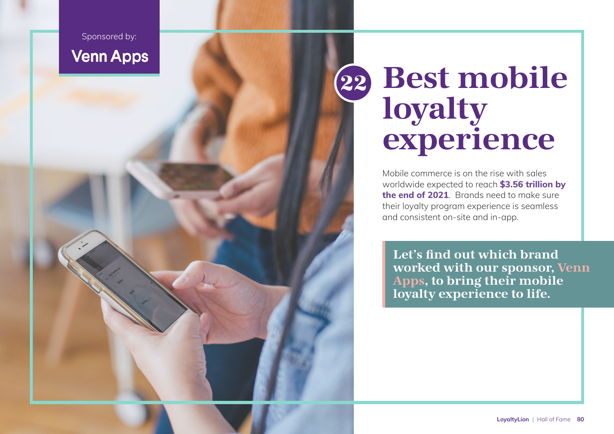Sponsored by: **Venn Apps** 

# Best mobile loyalty experience 22

Mobile commerce is on the rise with sales worldwide expected to reach **[\\$3.56 trillion by](https://thecircularboard.com/mobile-commerce-statistics/)  [the end of 2021](https://thecircularboard.com/mobile-commerce-statistics/)**. Brands need to make sure their loyalty program experience is seamless and consistent on-site and in-app.

Let's find out which brand worked with our sponsor, [Venn](https://loyaltylion.com/integrations/venn-apps)  [Apps](https://loyaltylion.com/integrations/venn-apps), to bring their mobile loyalty experience to life.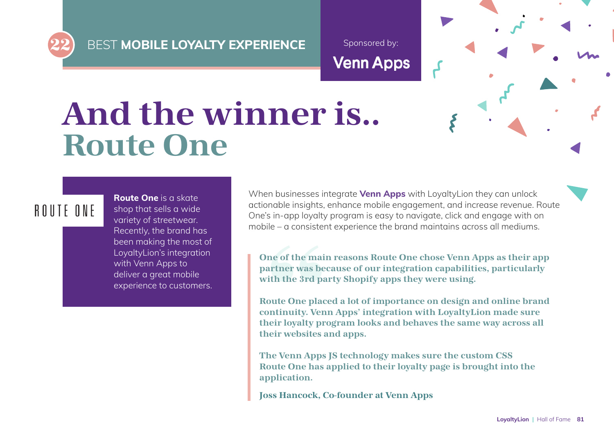**BEST MOBILE LOYALTY EXPERIENCE** 

Sponsored by:**Venn Apps** 

# And the winner is.. Route One

### ROUTE ONE

**[Route One](https://www.routeone.co.uk/)** is a skate shop that sells a wide variety of streetwear. Recently, the brand has been making the most of LoyaltyLion's integration with Venn Apps to deliver a great mobile experience to customers.

When businesses integrate **[Venn Apps](https://loyaltylion.com/integrations/venn-apps)** with LoyaltyLion they can unlock actionable insights, enhance mobile engagement, and increase revenue. Route One's in-app loyalty program is easy to navigate, click and engage with on mobile – a consistent experience the brand maintains across all mediums.

One of the main reasons Route One chose Venn Apps as their app partner was because of our integration capabilities, particularly with the 3rd party Shopify apps they were using.

Route One placed a lot of importance on design and online brand continuity. Venn Apps' integration with LoyaltyLion made sure their loyalty program looks and behaves the same way across all their websites and apps.

The Venn Apps JS technology makes sure the custom CSS Route One has applied to their loyalty page is brought into the application.

Joss Hancock, Co-founder at Venn Apps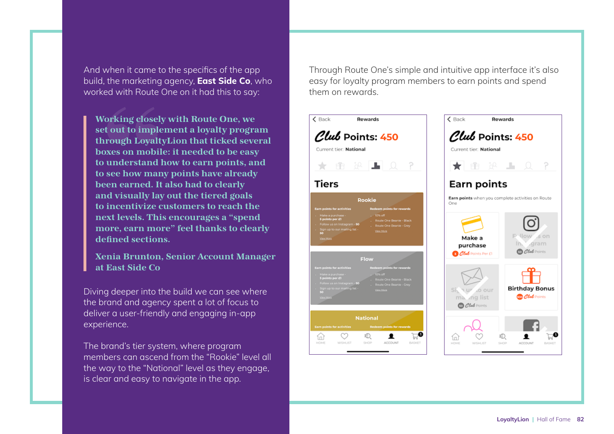And when it came to the specifics of the app build, the marketing agency, **[East Side Co](https://eastsideco.com/)**, who worked with Route One on it had this to say:

Working closely with Route One, we set out to implement a loyalty program through LoyaltyLion that ticked several boxes on mobile: it needed to be easy to understand how to earn points, and to see how many points have already been earned. It also had to clearly and visually lay out the tiered goals to incentivize customers to reach the next levels. This encourages a "spend more, earn more" feel thanks to clearly defined sections.

Xenia Brunton, Senior Account Manager at East Side Co

Diving deeper into the build we can see where the brand and agency spent a lot of focus to deliver a user-friendly and engaging in-app experience.

The brand's tier system, where program members can ascend from the "Rookie" level all the way to the "National" level as they engage, is clear and easy to navigate in the app.

Through Route One's simple and intuitive app interface it's also easy for loyalty program members to earn points and spend them on rewards.



**BASKET** 

 $\circ$